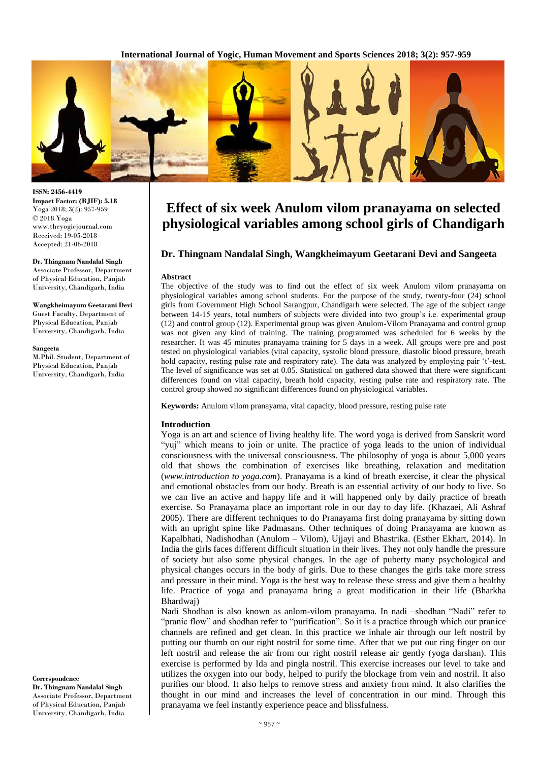

**ISSN: 2456-4419 Impact Factor: (RJIF): 5.18** Yoga 2018; 3(2): 957-959 © 2018 Yoga www.theyogicjournal.com Received: 19-05-2018 Accepted: 21-06-2018

#### **Dr. Thingnam Nandalal Singh**

Associate Professor, Department of Physical Education, Panjab University, Chandigarh, India

**Wangkheimayum Geetarani Devi** Guest Faculty, Department of Physical Education, Panjab University, Chandigarh, India

#### **Sangeeta**

M.Phil. Student, Department of Physical Education, Panjab University, Chandigarh, India

**Correspondence Dr. Thingnam Nandalal Singh**  Associate Professor, Department of Physical Education, Panjab University, Chandigarh, India

# **Effect of six week Anulom vilom pranayama on selected physiological variables among school girls of Chandigarh**

### **Dr. Thingnam Nandalal Singh, Wangkheimayum Geetarani Devi and Sangeeta**

#### **Abstract**

The objective of the study was to find out the effect of six week Anulom vilom pranayama on physiological variables among school students. For the purpose of the study, twenty-four (24) school girls from Government High School Sarangpur, Chandigarh were selected. The age of the subject range between 14-15 years, total numbers of subjects were divided into two group's i.e. experimental group (12) and control group (12). Experimental group was given Anulom-Vilom Pranayama and control group was not given any kind of training. The training programmed was scheduled for 6 weeks by the researcher. It was 45 minutes pranayama training for 5 days in a week. All groups were pre and post tested on physiological variables (vital capacity, systolic blood pressure, diastolic blood pressure, breath hold capacity, resting pulse rate and respiratory rate). The data was analyzed by employing pair 't'-test. The level of significance was set at 0.05. Statistical on gathered data showed that there were significant differences found on vital capacity, breath hold capacity, resting pulse rate and respiratory rate. The control group showed no significant differences found on physiological variables.

**Keywords:** Anulom vilom pranayama, vital capacity, blood pressure, resting pulse rate

#### **Introduction**

Yoga is an art and science of living healthy life. The word yoga is derived from Sanskrit word "yuj" which means to join or unite. The practice of yoga leads to the union of individual consciousness with the universal consciousness. The philosophy of yoga is about 5,000 years old that shows the combination of exercises like breathing, relaxation and meditation (*www.introduction to yoga.com*). Pranayama is a kind of breath exercise, it clear the physical and emotional obstacles from our body. Breath is an essential activity of our body to live. So we can live an active and happy life and it will happened only by daily practice of breath exercise. So Pranayama place an important role in our day to day life. (Khazaei, Ali Ashraf 2005). There are different techniques to do Pranayama first doing pranayama by sitting down with an upright spine like Padmasans. Other techniques of doing Pranayama are known as Kapalbhati, Nadishodhan (Anulom – Vilom), Ujjayi and Bhastrika. (Esther Ekhart, 2014). In India the girls faces different difficult situation in their lives. They not only handle the pressure of society but also some physical changes. In the age of puberty many psychological and physical changes occurs in the body of girls. Due to these changes the girls take more stress and pressure in their mind. Yoga is the best way to release these stress and give them a healthy life. Practice of yoga and pranayama bring a great modification in their life (Bharkha Bhardwaj)

Nadi Shodhan is also known as anlom-vilom pranayama. In nadi –shodhan "Nadi" refer to "pranic flow" and shodhan refer to "purification". So it is a practice through which our pranice channels are refined and get clean. In this practice we inhale air through our left nostril by putting our thumb on our right nostril for some time. After that we put our ring finger on our left nostril and release the air from our right nostril release air gently (yoga darshan). This exercise is performed by Ida and pingla nostril. This exercise increases our level to take and utilizes the oxygen into our body, helped to purify the blockage from vein and nostril. It also purifies our blood. It also helps to remove stress and anxiety from mind. It also clarifies the thought in our mind and increases the level of concentration in our mind. Through this pranayama we feel instantly experience peace and blissfulness.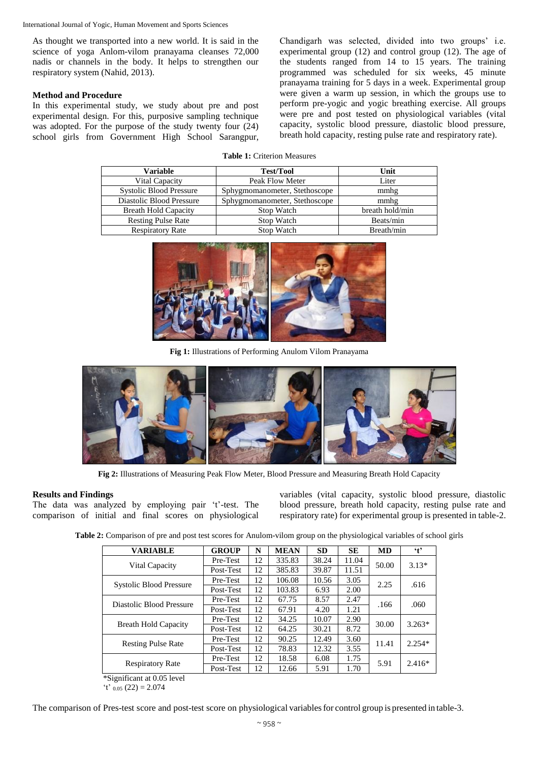International Journal of Yogic, Human Movement and Sports Sciences

As thought we transported into a new world. It is said in the science of yoga Anlom-vilom pranayama cleanses 72,000 nadis or channels in the body. It helps to strengthen our respiratory system (Nahid, 2013).

## **Method and Procedure**

In this experimental study, we study about pre and post experimental design. For this, purposive sampling technique was adopted. For the purpose of the study twenty four (24) school girls from Government High School Sarangpur, Chandigarh was selected, divided into two groups' i.e. experimental group (12) and control group (12). The age of the students ranged from 14 to 15 years. The training programmed was scheduled for six weeks, 45 minute pranayama training for 5 days in a week. Experimental group were given a warm up session, in which the groups use to perform pre-yogic and yogic breathing exercise. All groups were pre and post tested on physiological variables (vital capacity, systolic blood pressure, diastolic blood pressure, breath hold capacity, resting pulse rate and respiratory rate).

| <b>Table 1:</b> Criterion Measures |  |
|------------------------------------|--|
|------------------------------------|--|

| Variable                       | <b>Test/Tool</b>              | Unit            |
|--------------------------------|-------------------------------|-----------------|
| Vital Capacity                 | Peak Flow Meter               | Liter           |
| <b>Systolic Blood Pressure</b> | Sphygmomanometer, Stethoscope | mmhg            |
| Diastolic Blood Pressure       | Sphygmomanometer, Stethoscope | mmhg            |
| <b>Breath Hold Capacity</b>    | Stop Watch                    | breath hold/min |
| <b>Resting Pulse Rate</b>      | Stop Watch                    | Beats/min       |
| <b>Respiratory Rate</b>        | Stop Watch                    | Breath/min      |



**Fig 1:** Illustrations of Performing Anulom Vilom Pranayama



**Fig 2:** Illustrations of Measuring Peak Flow Meter, Blood Pressure and Measuring Breath Hold Capacity

## **Results and Findings**

The data was analyzed by employing pair 't'-test. The comparison of initial and final scores on physiological variables (vital capacity, systolic blood pressure, diastolic blood pressure, breath hold capacity, resting pulse rate and respiratory rate) for experimental group is presented in table-2.

**Table 2:** Comparison of pre and post test scores for Anulom-vilom group on the physiological variables of school girls

| <b>VARIABLE</b>                | <b>GROUP</b> | N  | <b>MEAN</b> | <b>SD</b> | SE    | <b>MD</b> | $\cdot$ t |
|--------------------------------|--------------|----|-------------|-----------|-------|-----------|-----------|
| Vital Capacity                 | Pre-Test     | 12 | 335.83      | 38.24     | 11.04 | 50.00     | $3.13*$   |
|                                | Post-Test    | 12 | 385.83      | 39.87     | 11.51 |           |           |
| <b>Systolic Blood Pressure</b> | Pre-Test     | 12 | 106.08      | 10.56     | 3.05  | 2.25      | .616      |
|                                | Post-Test    | 12 | 103.83      | 6.93      | 2.00  |           |           |
| Diastolic Blood Pressure       | Pre-Test     | 12 | 67.75       | 8.57      | 2.47  | .166      | .060      |
|                                | Post-Test    | 12 | 67.91       | 4.20      | 1.21  |           |           |
| <b>Breath Hold Capacity</b>    | Pre-Test     | 12 | 34.25       | 10.07     | 2.90  | 30.00     | $3.263*$  |
|                                | Post-Test    | 12 | 64.25       | 30.21     | 8.72  |           |           |
| <b>Resting Pulse Rate</b>      | Pre-Test     | 12 | 90.25       | 12.49     | 3.60  | 11.41     | $2.254*$  |
|                                | Post-Test    | 12 | 78.83       | 12.32     | 3.55  |           |           |
| <b>Respiratory Rate</b>        | Pre-Test     | 12 | 18.58       | 6.08      | 1.75  |           | $2.416*$  |
|                                | Post-Test    | 12 | 12.66       | 5.91      | 1.70  | 5.91      |           |

\*Significant at 0.05 level  $'t'$  0.05 (22) = 2.074

The comparison of Pres-test score and post-test score on physiological variables for control group is presented in table-3.